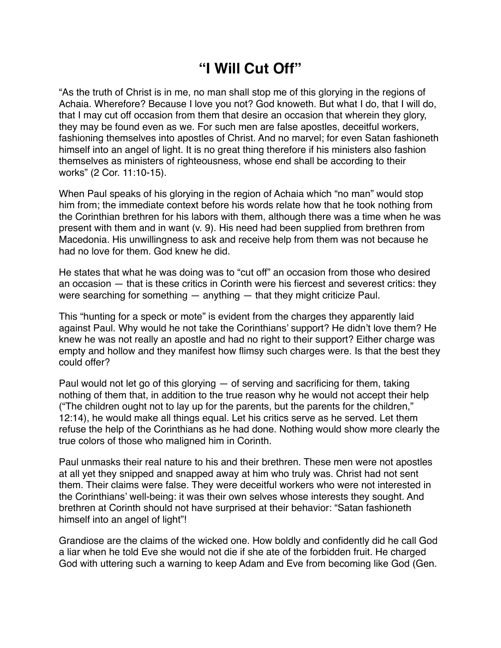## **"I Will Cut Off"**

"As the truth of Christ is in me, no man shall stop me of this glorying in the regions of Achaia. Wherefore? Because I love you not? God knoweth. But what I do, that I will do, that I may cut off occasion from them that desire an occasion that wherein they glory, they may be found even as we. For such men are false apostles, deceitful workers, fashioning themselves into apostles of Christ. And no marvel; for even Satan fashioneth himself into an angel of light. It is no great thing therefore if his ministers also fashion themselves as ministers of righteousness, whose end shall be according to their works" (2 Cor. 11:10-15).

When Paul speaks of his glorying in the region of Achaia which "no man" would stop him from; the immediate context before his words relate how that he took nothing from the Corinthian brethren for his labors with them, although there was a time when he was present with them and in want (v. 9). His need had been supplied from brethren from Macedonia. His unwillingness to ask and receive help from them was not because he had no love for them. God knew he did.

He states that what he was doing was to "cut off" an occasion from those who desired an occasion — that is these critics in Corinth were his fiercest and severest critics: they were searching for something — anything — that they might criticize Paul.

This "hunting for a speck or mote" is evident from the charges they apparently laid against Paul. Why would he not take the Corinthians' support? He didn't love them? He knew he was not really an apostle and had no right to their support? Either charge was empty and hollow and they manifest how flimsy such charges were. Is that the best they could offer?

Paul would not let go of this glorying — of serving and sacrificing for them, taking nothing of them that, in addition to the true reason why he would not accept their help ("The children ought not to lay up for the parents, but the parents for the children," 12:14), he would make all things equal. Let his critics serve as he served. Let them refuse the help of the Corinthians as he had done. Nothing would show more clearly the true colors of those who maligned him in Corinth.

Paul unmasks their real nature to his and their brethren. These men were not apostles at all yet they snipped and snapped away at him who truly was. Christ had not sent them. Their claims were false. They were deceitful workers who were not interested in the Corinthians' well-being: it was their own selves whose interests they sought. And brethren at Corinth should not have surprised at their behavior: "Satan fashioneth himself into an angel of light"!

Grandiose are the claims of the wicked one. How boldly and confidently did he call God a liar when he told Eve she would not die if she ate of the forbidden fruit. He charged God with uttering such a warning to keep Adam and Eve from becoming like God (Gen.